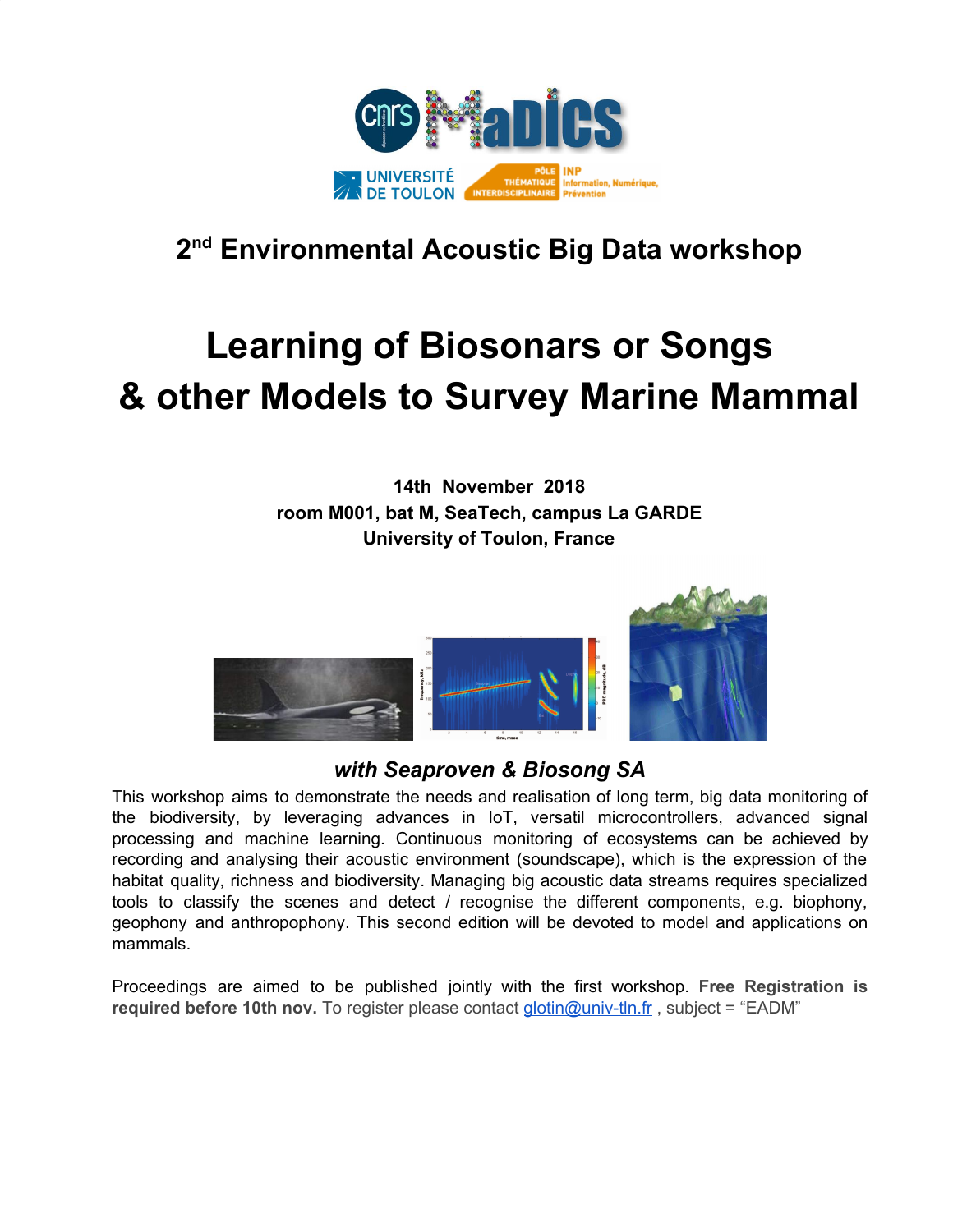

### **2 nd Environmental Acoustic Big Data workshop**

# **Learning of Biosonars or Songs & other Models to Survey Marine Mammal**

**14th November 2018 room M001, bat M, SeaTech, campus La GARDE University of Toulon, France**



### *with Seaproven & Biosong SA*

This workshop aims to demonstrate the needs and realisation of long term, big data monitoring of the biodiversity, by leveraging advances in IoT, versatil microcontrollers, advanced signal processing and machine learning. Continuous monitoring of ecosystems can be achieved by recording and analysing their acoustic environment (soundscape), which is the expression of the habitat quality, richness and biodiversity. Managing big acoustic data streams requires specialized tools to classify the scenes and detect / recognise the different components, e.g. biophony, geophony and anthropophony. This second edition will be devoted to model and applications on mammals.

Proceedings are aimed to be published jointly with the first workshop. **Free Registration is required before 10th nov.** To register please contact [glotin@univ-tln.fr](mailto:glotin@univ-tln.fr) , subject = "EADM"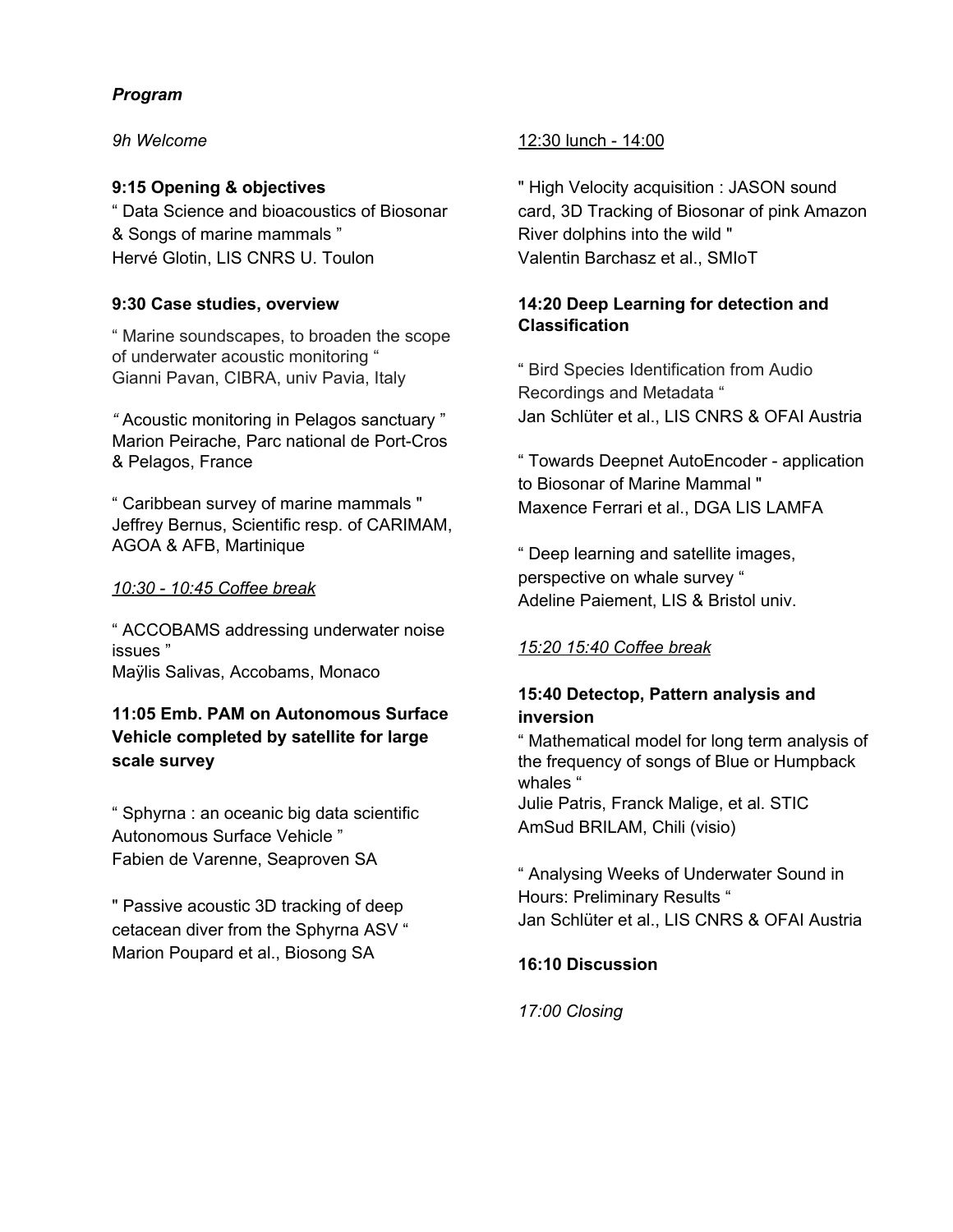#### *Program*

*9h Welcome*

#### **9:15 Opening & objectives**

" Data Science and bioacoustics of Biosonar & Songs of marine mammals " Hervé Glotin, LIS CNRS U. Toulon

#### **9:30 Case studies, overview**

" Marine soundscapes, to broaden the scope of underwater acoustic monitoring " Gianni Pavan, CIBRA, univ Pavia, Italy

*"* Acoustic monitoring in Pelagos sanctuary " Marion Peirache, Parc national de Port-Cros & Pelagos, France

" Caribbean survey of marine mammals " Jeffrey Bernus, Scientific resp. of CARIMAM, AGOA & AFB, Martinique

#### *10:30 - 10:45 Coffee break*

" ACCOBAMS addressing underwater noise issues " Maÿlis Salivas, Accobams, Monaco

#### **11:05 Emb. PAM on Autonomous Surface Vehicle completed by satellite for large scale survey**

" Sphyrna : an oceanic big data scientific Autonomous Surface Vehicle " Fabien de Varenne, Seaproven SA

" Passive acoustic 3D tracking of deep cetacean diver from the Sphyrna ASV " Marion Poupard et al., Biosong SA

#### 12:30 lunch - 14:00

" High Velocity acquisition : JASON sound card, 3D Tracking of Biosonar of pink Amazon River dolphins into the wild " Valentin Barchasz et al., SMIoT

#### **14:20 Deep Learning for detection and Classification**

" Bird Species Identification from Audio Recordings and Metadata " Jan Schlüter et al., LIS CNRS & OFAI Austria

" Towards Deepnet AutoEncoder - application to Biosonar of Marine Mammal " Maxence Ferrari et al., DGA LIS LAMFA

" Deep learning and satellite images, perspective on whale survey " Adeline Paiement, LIS & Bristol univ.

#### *15:20 15:40 Coffee break*

#### **15:40 Detectop, Pattern analysis and inversion**

" Mathematical model for long term analysis of the frequency of songs of Blue or Humpback whales " Julie Patris, Franck Malige, et al. STIC AmSud BRILAM, Chili (visio)

" Analysing Weeks of Underwater Sound in Hours: Preliminary Results " Jan Schlüter et al., LIS CNRS & OFAI Austria

#### **16:10 Discussion**

*17:00 Closing*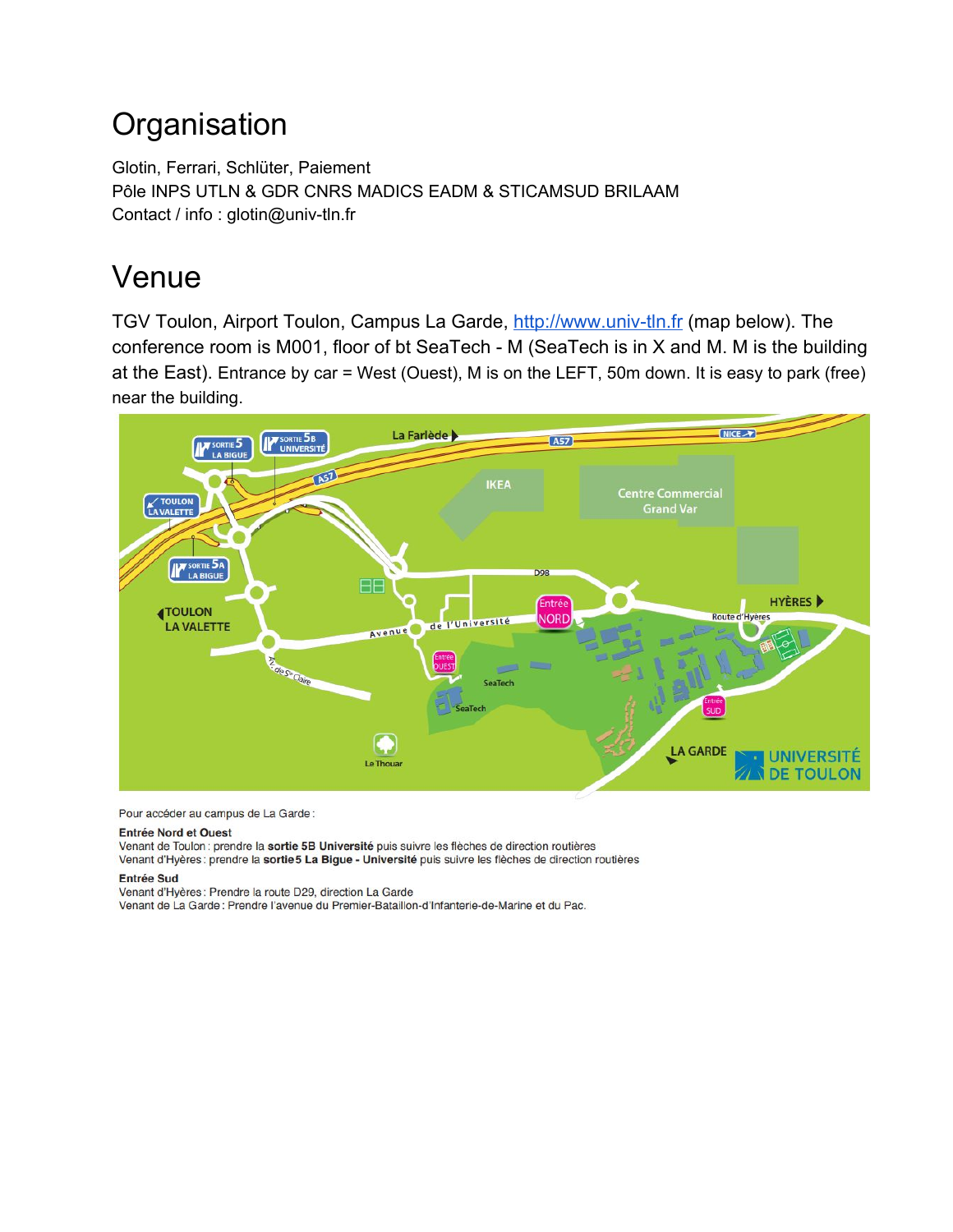# **Organisation**

Glotin, Ferrari, Schlüter, Paiement Pôle INPS UTLN & GDR CNRS MADICS EADM & STICAMSUD BRILAAM Contact / info : glotin@univ-tln.fr

# Venue

TGV Toulon, Airport Toulon, Campus La Garde, [http://www.univ-tln.fr](http://www.univ-tln.fr/) (map below). The conference room is M001, floor of bt SeaTech - M (SeaTech is in X and M. M is the building at the East). Entrance by car = West (Ouest), M is on the LEFT, 50m down. It is easy to park (free) near the building.



Pour accéder au campus de La Garde:

#### **Entrée Nord et Ouest**

Venant de Toulon : prendre la sortie 5B Université puis suivre les flèches de direction routières Venant d'Hyères : prendre la sortie 5 La Bigue - Université puis suivre les flèches de direction routières

#### **Entrée Sud**

Venant d'Hyères : Prendre la route D29, direction La Garde Venant de La Garde : Prendre l'avenue du Premier-Bataillon-d'Infanterie-de-Marine et du Pac.